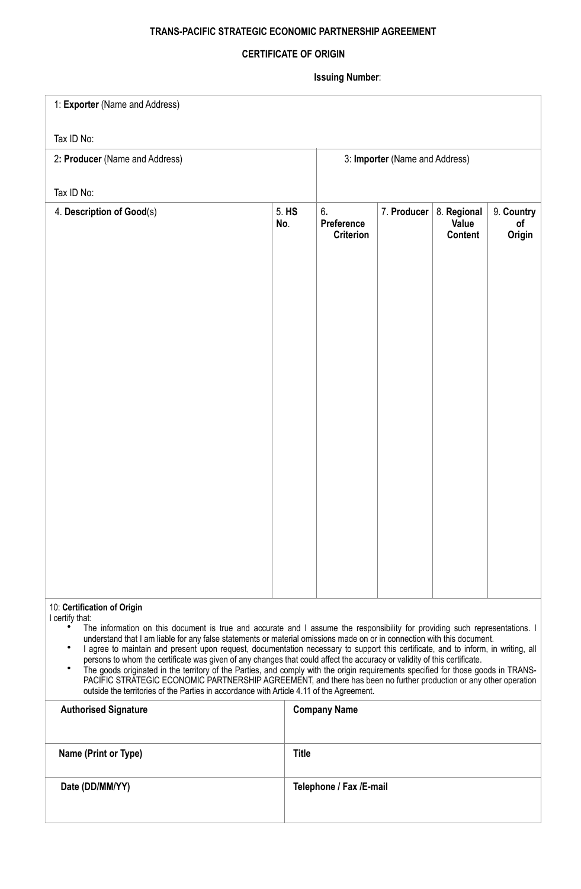## **TRANS-PACIFIC STRATEGIC ECONOMIC PARTNERSHIP AGREEMENT**

## **CERTIFICATE OF ORIGIN**

**Issuing Number**:

| 1: Exporter (Name and Address)                                                                                                                                                                                                                                                                                                                                                                                                                                                                                                                                                                                                                                                                                                                                                                                                                                                                                                                    |              |                                      |             |                                 |                            |  |
|---------------------------------------------------------------------------------------------------------------------------------------------------------------------------------------------------------------------------------------------------------------------------------------------------------------------------------------------------------------------------------------------------------------------------------------------------------------------------------------------------------------------------------------------------------------------------------------------------------------------------------------------------------------------------------------------------------------------------------------------------------------------------------------------------------------------------------------------------------------------------------------------------------------------------------------------------|--------------|--------------------------------------|-------------|---------------------------------|----------------------------|--|
| Tax ID No:                                                                                                                                                                                                                                                                                                                                                                                                                                                                                                                                                                                                                                                                                                                                                                                                                                                                                                                                        |              |                                      |             |                                 |                            |  |
| 2: Producer (Name and Address)                                                                                                                                                                                                                                                                                                                                                                                                                                                                                                                                                                                                                                                                                                                                                                                                                                                                                                                    |              | 3: Importer (Name and Address)       |             |                                 |                            |  |
| Tax ID No:                                                                                                                                                                                                                                                                                                                                                                                                                                                                                                                                                                                                                                                                                                                                                                                                                                                                                                                                        |              |                                      |             |                                 |                            |  |
| 4. Description of Good(s)                                                                                                                                                                                                                                                                                                                                                                                                                                                                                                                                                                                                                                                                                                                                                                                                                                                                                                                         | 5. HS<br>No. | 6.<br>Preference<br><b>Criterion</b> | 7. Producer | 8. Regional<br>Value<br>Content | 9. Country<br>of<br>Origin |  |
|                                                                                                                                                                                                                                                                                                                                                                                                                                                                                                                                                                                                                                                                                                                                                                                                                                                                                                                                                   |              |                                      |             |                                 |                            |  |
| 10: Certification of Origin<br>I certify that:<br>The information on this document is true and accurate and I assume the responsibility for providing such representations. I<br>understand that I am liable for any false statements or material omissions made on or in connection with this document.<br>٠<br>I agree to maintain and present upon request, documentation necessary to support this certificate, and to inform, in writing, all<br>persons to whom the certificate was given of any changes that could affect the accuracy or validity of this certificate.<br>The goods originated in the territory of the Parties, and comply with the origin requirements specified for those goods in TRANS-<br>$\bullet$<br>PACIFIC STRATEGIC ECONOMIC PARTNERSHIP AGREEMENT, and there has been no further production or any other operation<br>outside the territories of the Parties in accordance with Article 4.11 of the Agreement. |              |                                      |             |                                 |                            |  |
| <b>Authorised Signature</b>                                                                                                                                                                                                                                                                                                                                                                                                                                                                                                                                                                                                                                                                                                                                                                                                                                                                                                                       |              | <b>Company Name</b>                  |             |                                 |                            |  |
| Name (Print or Type)                                                                                                                                                                                                                                                                                                                                                                                                                                                                                                                                                                                                                                                                                                                                                                                                                                                                                                                              | <b>Title</b> |                                      |             |                                 |                            |  |
| Date (DD/MM/YY)                                                                                                                                                                                                                                                                                                                                                                                                                                                                                                                                                                                                                                                                                                                                                                                                                                                                                                                                   |              | Telephone / Fax /E-mail              |             |                                 |                            |  |